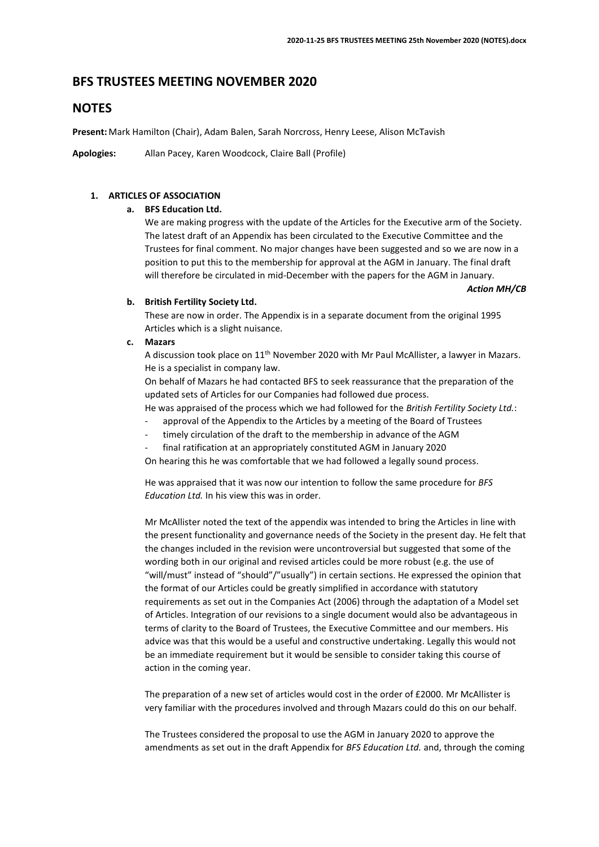# **BFS TRUSTEES MEETING NOVEMBER 2020**

# **NOTES**

**Present:** Mark Hamilton (Chair), Adam Balen, Sarah Norcross, Henry Leese, Alison McTavish

**Apologies:** Allan Pacey, Karen Woodcock, Claire Ball (Profile)

# **1. ARTICLES OF ASSOCIATION**

### **a. BFS Education Ltd.**

We are making progress with the update of the Articles for the Executive arm of the Society. The latest draft of an Appendix has been circulated to the Executive Committee and the Trustees for final comment. No major changes have been suggested and so we are now in a position to put this to the membership for approval at the AGM in January. The final draft will therefore be circulated in mid-December with the papers for the AGM in January.

*Action MH/CB*

#### **b. British Fertility Society Ltd.**

These are now in order. The Appendix is in a separate document from the original 1995 Articles which is a slight nuisance.

#### **c. Mazars**

A discussion took place on 11th November 2020 with Mr Paul McAllister, a lawyer in Mazars. He is a specialist in company law.

On behalf of Mazars he had contacted BFS to seek reassurance that the preparation of the updated sets of Articles for our Companies had followed due process.

He was appraised of the process which we had followed for the *British Fertility Society Ltd.*:

- approval of the Appendix to the Articles by a meeting of the Board of Trustees
- timely circulation of the draft to the membership in advance of the AGM
- final ratification at an appropriately constituted AGM in January 2020

On hearing this he was comfortable that we had followed a legally sound process.

He was appraised that it was now our intention to follow the same procedure for *BFS Education Ltd.* In his view this was in order.

Mr McAllister noted the text of the appendix was intended to bring the Articles in line with the present functionality and governance needs of the Society in the present day. He felt that the changes included in the revision were uncontroversial but suggested that some of the wording both in our original and revised articles could be more robust (e.g. the use of "will/must" instead of "should"/"usually") in certain sections. He expressed the opinion that the format of our Articles could be greatly simplified in accordance with statutory requirements as set out in the Companies Act (2006) through the adaptation of a Model set of Articles. Integration of our revisions to a single document would also be advantageous in terms of clarity to the Board of Trustees, the Executive Committee and our members. His advice was that this would be a useful and constructive undertaking. Legally this would not be an immediate requirement but it would be sensible to consider taking this course of action in the coming year.

The preparation of a new set of articles would cost in the order of £2000. Mr McAllister is very familiar with the procedures involved and through Mazars could do this on our behalf.

The Trustees considered the proposal to use the AGM in January 2020 to approve the amendments as set out in the draft Appendix for *BFS Education Ltd.* and, through the coming